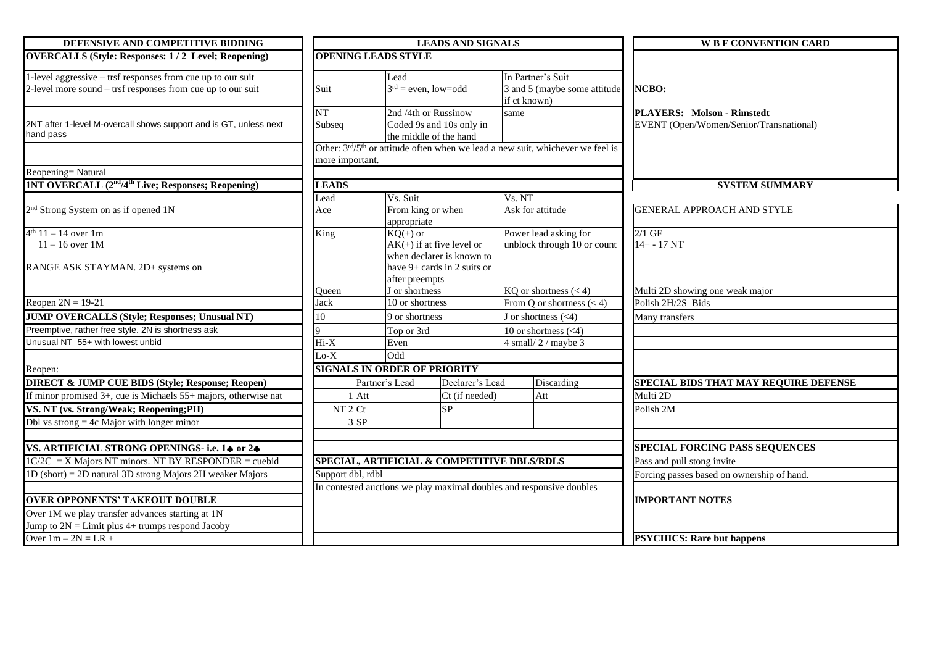| DEFENSIVE AND COMPETITIVE BIDDING                                              |                                                                      |                                                    | <b>LEADS AND SIGNALS</b>  |                             | <b>W B F CONVENTION CARD</b>                                                               |                                            |
|--------------------------------------------------------------------------------|----------------------------------------------------------------------|----------------------------------------------------|---------------------------|-----------------------------|--------------------------------------------------------------------------------------------|--------------------------------------------|
| <b>OVERCALLS (Style: Responses: 1/2 Level; Reopening)</b>                      | <b>OPENING LEADS STYLE</b>                                           |                                                    |                           |                             |                                                                                            |                                            |
| 1-level aggressive - trsf responses from cue up to our suit                    |                                                                      | Lead                                               |                           |                             | In Partner's Suit                                                                          |                                            |
| 2-level more sound – trsf responses from cue up to our suit                    | Suit                                                                 | $3rd = even, low=odd$                              |                           | if ct known)                | 3 and 5 (maybe some attitude                                                               | NCBO:                                      |
|                                                                                | $\overline{\text{NT}}$                                               | 2nd /4th or Russinow                               |                           | same                        |                                                                                            | <b>PLAYERS: Molson - Rimstedt</b>          |
| 2NT after 1-level M-overcall shows support and is GT, unless next<br>hand pass | Subseq                                                               | Coded 9s and 10s only in<br>the middle of the hand |                           |                             |                                                                                            | EVENT (Open/Women/Senior/Transnational)    |
|                                                                                |                                                                      |                                                    |                           |                             | Other: 3rd/5 <sup>th</sup> or attitude often when we lead a new suit, whichever we feel is |                                            |
|                                                                                | more important.                                                      |                                                    |                           |                             |                                                                                            |                                            |
| Reopening=Natural                                                              |                                                                      |                                                    |                           |                             |                                                                                            |                                            |
| <b>1NT OVERCALL (2<sup>nd</sup>/4<sup>th</sup> Live; Responses; Reopening)</b> | <b>LEADS</b>                                                         |                                                    |                           |                             | <b>SYSTEM SUMMARY</b>                                                                      |                                            |
|                                                                                | Lead                                                                 | Vs. Suit                                           |                           | Vs. NT                      |                                                                                            |                                            |
| 2 <sup>nd</sup> Strong System on as if opened 1N                               | Ace                                                                  | From king or when<br>appropriate                   |                           | Ask for attitude            |                                                                                            | <b>GENERAL APPROACH AND STYLE</b>          |
| $4^{th}$ 11 – 14 over 1m                                                       | $KQ(+)$ or<br>King                                                   |                                                    |                           |                             | Power lead asking for                                                                      | $2/1$ GF                                   |
| $11 - 16$ over 1M                                                              |                                                                      | $AK(+)$ if at five level or                        |                           | unblock through 10 or count | $14 + - 17NT$                                                                              |                                            |
|                                                                                |                                                                      |                                                    | when declarer is known to |                             |                                                                                            |                                            |
| RANGE ASK STAYMAN. 2D+ systems on                                              |                                                                      | have $9+$ cards in 2 suits or<br>after preempts    |                           |                             |                                                                                            |                                            |
|                                                                                | Queen                                                                | J or shortness                                     |                           |                             | $\overline{KQ}$ or shortness (< 4)                                                         | Multi 2D showing one weak major            |
| Reopen $2N = 19-21$                                                            | Jack                                                                 | 10 or shortness                                    |                           | From Q or shortness $(< 4)$ |                                                                                            | Polish 2H/2S Bids                          |
| <b>JUMP OVERCALLS (Style; Responses; Unusual NT)</b>                           | 10                                                                   | 9 or shortness                                     |                           | J or shortness $(<4)$       |                                                                                            | Many transfers                             |
| Preemptive, rather free style. 2N is shortness ask                             |                                                                      | Top or 3rd                                         |                           | 10 or shortness $(<4)$      |                                                                                            |                                            |
| Unusual NT 55+ with lowest unbid                                               | $Hi-X$                                                               | Even                                               |                           |                             | $4 \text{ small} / 2 / \text{ maybe } 3$                                                   |                                            |
|                                                                                | $Lo-X$                                                               | Odd                                                |                           |                             |                                                                                            |                                            |
| Reopen:                                                                        | <b>SIGNALS IN ORDER OF PRIORITY</b>                                  |                                                    |                           |                             |                                                                                            |                                            |
| <b>DIRECT &amp; JUMP CUE BIDS (Style; Response; Reopen)</b>                    |                                                                      | Partner's Lead<br>Discarding<br>Declarer's Lead    |                           |                             |                                                                                            | SPECIAL BIDS THAT MAY REQUIRE DEFENSE      |
| If minor promised $3+$ , cue is Michaels $55+$ majors, otherwise nat           | $1$ Att                                                              |                                                    | Ct (if needed)            |                             | Att                                                                                        | Multi 2D                                   |
| VS. NT (vs. Strong/Weak; Reopening;PH)                                         | NT2Ct                                                                |                                                    | SP                        |                             |                                                                                            | Polish 2M                                  |
| Dbl vs strong $=$ 4c Major with longer minor                                   | $3$ $SP$                                                             |                                                    |                           |                             |                                                                                            |                                            |
|                                                                                |                                                                      |                                                    |                           |                             |                                                                                            |                                            |
| VS. ARTIFICIAL STRONG OPENINGS- i.e. 14 or 24                                  |                                                                      |                                                    |                           |                             |                                                                                            | <b>SPECIAL FORCING PASS SEQUENCES</b>      |
| $1C/2C = X$ Majors NT minors. NT BY RESPONDER = cuebid                         | SPECIAL, ARTIFICIAL & COMPETITIVE DBLS/RDLS                          |                                                    |                           |                             |                                                                                            | Pass and pull stong invite                 |
| $1D$ (short) = 2D natural 3D strong Majors 2H weaker Majors                    | Support dbl, rdbl                                                    |                                                    |                           |                             |                                                                                            | Forcing passes based on ownership of hand. |
|                                                                                | In contested auctions we play maximal doubles and responsive doubles |                                                    |                           |                             |                                                                                            |                                            |
| <b>OVER OPPONENTS' TAKEOUT DOUBLE</b>                                          |                                                                      |                                                    |                           |                             |                                                                                            | <b>IMPORTANT NOTES</b>                     |
| Over 1M we play transfer advances starting at 1N                               |                                                                      |                                                    |                           |                             |                                                                                            |                                            |
| Jump to $2N =$ Limit plus 4+ trumps respond Jacoby                             |                                                                      |                                                    |                           |                             |                                                                                            |                                            |
| Over $1m - 2N = LR +$                                                          |                                                                      |                                                    |                           |                             |                                                                                            | <b>PSYCHICS: Rare but happens</b>          |